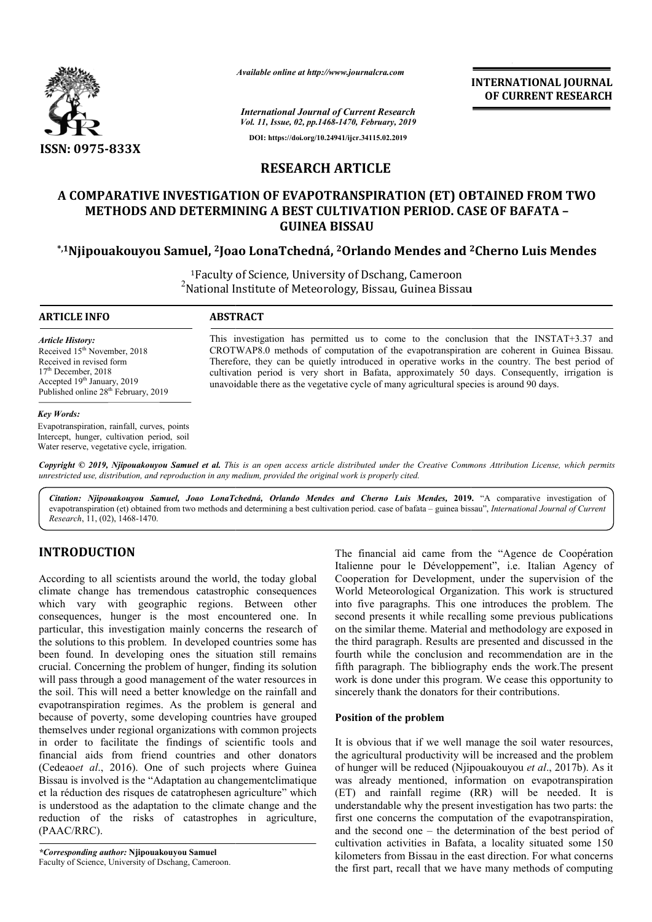

*Available online at http://www.journalcra.com*

*International Journal of Current Research Vol. 11, Issue, 02, pp.1468-1470, February, 2019* **DOI: https://doi.org/10.24941/ijcr.34115.02.2019**

**INTERNATIONAL JOURNAL OF CURRENT RESEARCH**

# **RESEARCH ARTICLE**

# **A COMPARATIVE INVESTIGATION OF EVAPOTRANSPIRATION (ET) OBTAINED FROM TWO COMPARATIVE INVESTIGATION METHODS AND DETERMINING A BEST CULTIVATION PERIOD. CASE OF BAFATA -GUINEA BISSAU**

# **\*,1Njipouakouyou Samuel, 2Joao LonaTchedná, Joao 2Orlando Mendes and 2 2Cherno Luis Mendes**

<sup>1</sup>Faculty of Science, University of Dschang, Cameroon<br><sup>2</sup>National Institute of Meteorology, Piscau, Cuinea Pisca National Institute of Meteorology, Bissau, Guinea Bissau Bissau

### **ARTICLE INFO ABSTRACT**

*Article History:* Received 15<sup>th</sup> November, 2018 Received in revised form 17<sup>th</sup> December, 2018 Accepted 19<sup>th</sup> January, 2019 Published online 28<sup>th</sup> February, 2019

#### *Key Words:*

Evapotranspiration, rainfall, curves, points Intercept, hunger, cultivation period, soil Water reserve, vegetative cycle, irrigation.

This investigation has permitted us to come to the conclusion that the INSTAT+3.37 and CROTWAP8.0 methods of computation of the evapotranspiration are coherent in Guinea Bissau. Therefore, they can be quietly introduced in operative works in the country. The best period of cultivation period is very short in Bafata, approximately 50 days. Consequently, irrigation is cultivation period is very short in Bafata, approximately 50 days. Consequently, unavoidable there as the vegetative cycle of many agricultural species is around 90 days. This investigation has permitted us to come to the conclusion that the INSTAT+3.37 and CROTWAP8.0 methods of computation of the evapotranspiration are coherent in Guinea Bissau. Therefore, they can be quietly introduced in

Copyright © 2019, Njipouakouyou Samuel et al. This is an open access article distributed under the Creative Commons Attribution License, which permits *unrestricted use, distribution, and reproduction in any medium, provided the original work is properly cited.*

Citation: Njipouakouyou Samuel, Joao LonaTchedná, Orlando Mendes and Cherno Luis Mendes, 2019. "A comparative investigation of evapotranspiration (et) obtained from two methods and determining a best cultivation period. case of bafata – guinea bissau", *International Journal of Current Research*, 11, (02), 1468-1470.

# **INTRODUCTION**

According to all scientists around the world, the today global climate change has tremendous catastrophic consequences which vary with geographic regions. Between other consequences, hunger is the most encountered one. In particular, this investigation mainly concerns the research of the solutions to this problem. In developed countries some has been found. In developing ones the situation still remains crucial. Concerning the problem of hunger, finding its solution will pass through a good management of the water resources in the soil. This will need a better knowledge on the rainfall and evapotranspiration regimes. As the problem is general and because of poverty, some developing countries have grouped themselves under regional organizations with common p in order to facilitate the findings of scientific tools and financial aids from friend countries and other donators (Cedeao*et al*., 2016). One of such projects where Guinea Bissau is involved is the "Adaptation au changementclimatique et la réduction des risques de catatrophesen agriculture" which is understood as the adaptation to the climate change and the reduction of the risks of catastrophes in agriculture, (PAAC/RRC). nly concerns the research of<br>developed countries some has<br>s the situation still remains<br>of hunger, finding its solution<br>ment of the water resources in<br>mowledge on the rainfall and<br>the problem is general and<br>phing countries **CTION**<br>
The financial aid came from the "Agence de Coopération<br>
all scientists around the world, the today global<br>
Lailenne pour le Dévelopment, under the supervision of the<br>
geha tremendous catastrophic consequences<br>
Wo

*\*Corresponding author:* **Njipouakouyou Samuel** Faculty of Science, University of Dschang, Cameroon. Italienne pour le Développement", i.e. Italian Agency of Cooperation for Development, under the supervision of the Italienne pour le Développement", i.e. Italian Agency of Cooperation for Development, under the supervision of the World Meteorological Organization. This work is structured into five paragraphs. This one introduces the problem. The second presents it while recalling some previous publications on the similar theme. Material and methodology are exposed in the third paragraph. Results are presented and discussed in the fourth while the conclusion and recommendation are in the fifth paragraph. The bibliography ends the work.The present work is done under this program. We cease this opportunity to sincerely thank the donators for their contributions. The financial aid came from the "Agence de Coopération five paragraphs. This one introduces the<br>nd presents it while recalling some previou<br>e similar theme. Material and methodology INTERNATIONAL JOURNAL<br>
FIRENCIPATE (BEV ACTIONAL TIME ACTION CONTRACT CONDITIONAL THE EVERT ENERGY (F. 1991)<br>
FICLE CONFIDENT (FIFT) OBTAINED FROM TWO<br>
SCALUS AND CONTINUES TRESPARTION (ET) OBTAINED FROM TWO<br>
VATION PERIO

## **Position of the problem**

It is obvious that if we well manage the soil water resources, the agricultural productivity will be increased and the problem of hunger will be reduced (Njipouakouyou et al., 2017b). As it was already mentioned, information on evapotranspiration (ET) and rainfall regime (RR) will be needed. It is understandable why the present investigation has two parts: the first one concerns the computation of the evapotranspiration, and the second one – the determination of the best period of cultivation activities in Bafata, a locality situated some 150 kilometers from Bissau in the east direction. For what concerns the first part, recall that we have many methods of computing the paragraph. The bibliography ends the work.The present<br>ork is done under this program. We cease this opportunity to<br>cerely thank the donators for their contributions.<br>sition of the problem<br>is obvious that if we well man (ET) and rainfall regime (RR)<br>understandable why the present inve<br>first one concerns the computation<br>and the second one – the determina<br>cultivation activities in Bafata, a l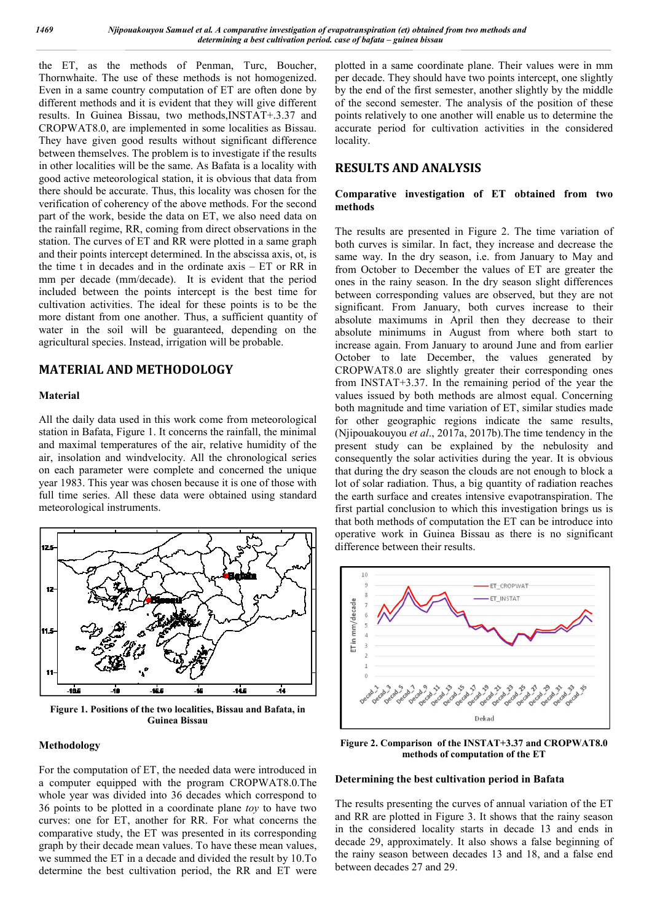the ET, as the methods of Penman, Turc, Boucher, Thornwhaite. The use of these methods is not homogenized. Even in a same country computation of ET are often done by different methods and it is evident that they will give different results. In Guinea Bissau, two methods,INSTAT+.3.37 and CROPWAT8.0, are implemented in some localities as Bissau. They have given good results without significant difference between themselves. The problem is to investigate if the results in other localities will be the same. As Bafata is a locality with good active meteorological station, it is obvious that data from there should be accurate. Thus, this locality was chosen for the verification of coherency of the above methods. For the second part of the work, beside the data on ET, we also need data on the rainfall regime, RR, coming from direct observations in the station. The curves of ET and RR were plotted in a same graph and their points intercept determined. In the abscissa axis, ot, is the time t in decades and in the ordinate axis – ET or RR in mm per decade (mm/decade). It is evident that the period included between the points intercept is the best time for cultivation activities. The ideal for these points is to be the more distant from one another. Thus, a sufficient quantity of water in the soil will be guaranteed, depending on the agricultural species. Instead, irrigation will be probable.

## **MATERIAL AND METHODOLOGY**

#### **Material**

All the daily data used in this work come from meteorological station in Bafata, Figure 1. It concerns the rainfall, the minimal and maximal temperatures of the air, relative humidity of the air, insolation and windvelocity. All the chronological series on each parameter were complete and concerned the unique year 1983. This year was chosen because it is one of those with full time series. All these data were obtained using standard meteorological instruments.



**Figure 1. Positions of the two localities, Bissau and Bafata, in Guinea Bissau**

#### **Methodology**

For the computation of ET, the needed data were introduced in a computer equipped with the program CROPWAT8.0.The whole year was divided into 36 decades which correspond to 36 points to be plotted in a coordinate plane *toy* to have two curves: one for ET, another for RR. For what concerns the comparative study, the ET was presented in its corresponding graph by their decade mean values. To have these mean values, we summed the ET in a decade and divided the result by 10.To determine the best cultivation period, the RR and ET were

plotted in a same coordinate plane. Their values were in mm per decade. They should have two points intercept, one slightly by the end of the first semester, another slightly by the middle of the second semester. The analysis of the position of these points relatively to one another will enable us to determine the accurate period for cultivation activities in the considered locality.

# **RESULTS AND ANALYSIS**

## **Comparative investigation of ET obtained from two methods**

The results are presented in Figure 2. The time variation of both curves is similar. In fact, they increase and decrease the same way. In the dry season, i.e. from January to May and from October to December the values of ET are greater the ones in the rainy season. In the dry season slight differences between corresponding values are observed, but they are not significant. From January, both curves increase to their absolute maximums in April then they decrease to their absolute minimums in August from where both start to increase again. From January to around June and from earlier October to late December, the values generated by CROPWAT8.0 are slightly greater their corresponding ones from INSTAT+3.37. In the remaining period of the year the values issued by both methods are almost equal. Concerning both magnitude and time variation of ET, similar studies made for other geographic regions indicate the same results, (Njipouakouyou *et al*., 2017a, 2017b).The time tendency in the present study can be explained by the nebulosity and consequently the solar activities during the year. It is obvious that during the dry season the clouds are not enough to block a lot of solar radiation. Thus, a big quantity of radiation reaches the earth surface and creates intensive evapotranspiration. The first partial conclusion to which this investigation brings us is that both methods of computation the ET can be introduce into operative work in Guinea Bissau as there is no significant difference between their results.



**Figure 2. Comparison of the INSTAT+3.37 and CROPWAT8.0 methods of computation of the ET**

## **Determining the best cultivation period in Bafata**

The results presenting the curves of annual variation of the ET and RR are plotted in Figure 3. It shows that the rainy season in the considered locality starts in decade 13 and ends in decade 29, approximately. It also shows a false beginning of the rainy season between decades 13 and 18, and a false end between decades 27 and 29.